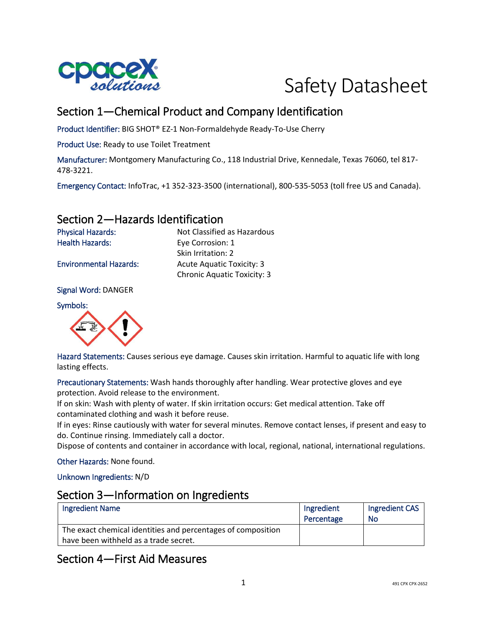



# Section 1—Chemical Product and Company Identification

Product Identifier: BIG SHOT® EZ-1 Non-Formaldehyde Ready-To-Use Cherry

Product Use: Ready to use Toilet Treatment

Manufacturer: Montgomery Manufacturing Co., 118 Industrial Drive, Kennedale, Texas 76060, tel 817- 478-3221.

Emergency Contact: InfoTrac, +1 352-323-3500 (international), 800-535-5053 (toll free US and Canada).

### Section 2—Hazards Identification

Physical Hazards: Not Classified as Hazardous Health Hazards: Eye Corrosion: 1 Skin Irritation: 2 Environmental Hazards: Acute Aquatic Toxicity: 3 Chronic Aquatic Toxicity: 3

Signal Word: DANGER

Symbols:



Hazard Statements: Causes serious eye damage. Causes skin irritation. Harmful to aquatic life with long lasting effects.

Precautionary Statements: Wash hands thoroughly after handling. Wear protective gloves and eye protection. Avoid release to the environment.

If on skin: Wash with plenty of water. If skin irritation occurs: Get medical attention. Take off contaminated clothing and wash it before reuse.

If in eyes: Rinse cautiously with water for several minutes. Remove contact lenses, if present and easy to do. Continue rinsing. Immediately call a doctor.

Dispose of contents and container in accordance with local, regional, national, international regulations.

Other Hazards: None found.

Unknown Ingredients: N/D

#### Section 3—Information on Ingredients

| Ingredient Name                                              | Ingredient<br>Percentage | Ingredient CAS<br>No |
|--------------------------------------------------------------|--------------------------|----------------------|
| The exact chemical identities and percentages of composition |                          |                      |
| have been withheld as a trade secret.                        |                          |                      |

# Section 4—First Aid Measures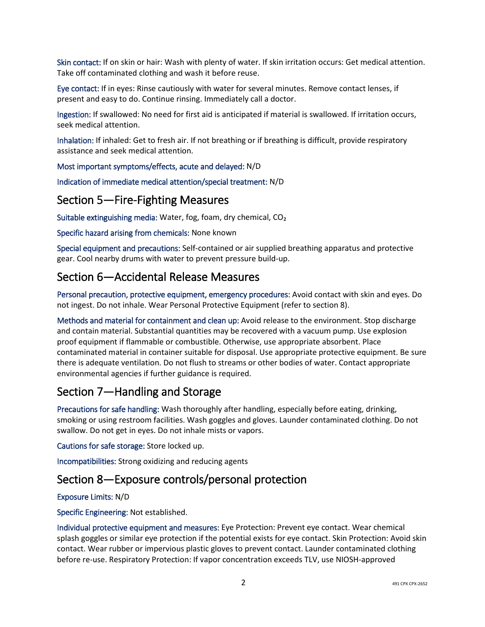Skin contact: If on skin or hair: Wash with plenty of water. If skin irritation occurs: Get medical attention. Take off contaminated clothing and wash it before reuse.

Eye contact: If in eyes: Rinse cautiously with water for several minutes. Remove contact lenses, if present and easy to do. Continue rinsing. Immediately call a doctor.

Ingestion: If swallowed: No need for first aid is anticipated if material is swallowed. If irritation occurs, seek medical attention.

Inhalation: If inhaled: Get to fresh air. If not breathing or if breathing is difficult, provide respiratory assistance and seek medical attention.

Most important symptoms/effects, acute and delayed: N/D

Indication of immediate medical attention/special treatment: N/D

### Section 5—Fire-Fighting Measures

Suitable extinguishing media: Water, fog, foam, dry chemical, CO₂

Specific hazard arising from chemicals: None known

Special equipment and precautions: Self-contained or air supplied breathing apparatus and protective gear. Cool nearby drums with water to prevent pressure build-up.

### Section 6—Accidental Release Measures

Personal precaution, protective equipment, emergency procedures: Avoid contact with skin and eyes. Do not ingest. Do not inhale. Wear Personal Protective Equipment (refer to section 8).

Methods and material for containment and clean up: Avoid release to the environment. Stop discharge and contain material. Substantial quantities may be recovered with a vacuum pump. Use explosion proof equipment if flammable or combustible. Otherwise, use appropriate absorbent. Place contaminated material in container suitable for disposal. Use appropriate protective equipment. Be sure there is adequate ventilation. Do not flush to streams or other bodies of water. Contact appropriate environmental agencies if further guidance is required.

# Section 7—Handling and Storage

Precautions for safe handling: Wash thoroughly after handling, especially before eating, drinking, smoking or using restroom facilities. Wash goggles and gloves. Launder contaminated clothing. Do not swallow. Do not get in eyes. Do not inhale mists or vapors.

Cautions for safe storage: Store locked up.

Incompatibilities: Strong oxidizing and reducing agents

#### Section 8—Exposure controls/personal protection

#### Exposure Limits: N/D

Specific Engineering: Not established.

Individual protective equipment and measures: Eye Protection: Prevent eye contact. Wear chemical splash goggles or similar eye protection if the potential exists for eye contact. Skin Protection: Avoid skin contact. Wear rubber or impervious plastic gloves to prevent contact. Launder contaminated clothing before re-use. Respiratory Protection: If vapor concentration exceeds TLV, use NIOSH-approved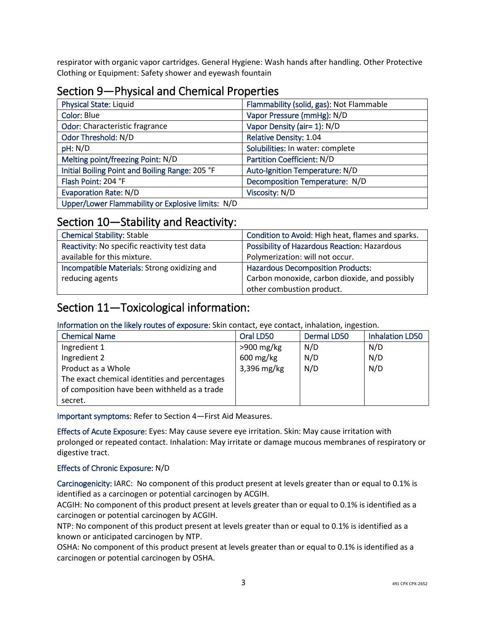respirator with organic vapor cartridges. General Hygiene: Wash hands after handling. Other Protective Clothing or Equipment: Safety shower and eyewash fountain

# Section 9—Physical and Chemical Properties

| <b>Physical State: Liquid</b>                     | Flammability (solid, gas): Not Flammable |
|---------------------------------------------------|------------------------------------------|
| Color: Blue                                       | Vapor Pressure (mmHg): N/D               |
| Odor: Characteristic fragrance                    | Vapor Density (air= 1): N/D              |
| Odor Threshold: N/D                               | <b>Relative Density: 1.04</b>            |
| pH: N/D                                           | Solubilities: In water: complete         |
| Melting point/freezing Point: N/D                 | Partition Coefficient: N/D               |
| Initial Boiling Point and Boiling Range: 205 °F   | Auto-Ignition Temperature: N/D           |
| Flash Point: 204 °F                               | Decomposition Temperature: N/D           |
| <b>Evaporation Rate: N/D</b>                      | Viscosity: N/D                           |
| Upper/Lower Flammability or Explosive limits: N/D |                                          |

#### Section 10—Stability and Reactivity:

| <b>Chemical Stability: Stable</b>            | Condition to Avoid: High heat, flames and sparks.   |
|----------------------------------------------|-----------------------------------------------------|
| Reactivity: No specific reactivity test data | <b>Possibility of Hazardous Reaction: Hazardous</b> |
| available for this mixture.                  | Polymerization: will not occur.                     |
| Incompatible Materials: Strong oxidizing and | <b>Hazardous Decomposition Products:</b>            |
| reducing agents                              | Carbon monoxide, carbon dioxide, and possibly       |
|                                              | other combustion product.                           |

#### Section 11—Toxicological information:

Information on the likely routes of exposure: Skin contact, eye contact, inhalation, ingestion.

| <b>Chemical Name</b>                          | Oral LD50    | Dermal LD50 | <b>Inhalation LD50</b> |
|-----------------------------------------------|--------------|-------------|------------------------|
| Ingredient 1                                  | $>900$ mg/kg | N/D         | N/D                    |
| Ingredient 2                                  | $600$ mg/kg  | N/D         | N/D                    |
| Product as a Whole                            | 3,396 mg/kg  | N/D         | N/D                    |
| The exact chemical identities and percentages |              |             |                        |
| of composition have been withheld as a trade  |              |             |                        |
| secret.                                       |              |             |                        |

Important symptoms: Refer to Section 4—First Aid Measures.

Effects of Acute Exposure: Eyes: May cause severe eye irritation. Skin: May cause irritation with prolonged or repeated contact. Inhalation: May irritate or damage mucous membranes of respiratory or digestive tract.

#### Effects of Chronic Exposure: N/D

Carcinogenicity: IARC: No component of this product present at levels greater than or equal to 0.1% is identified as a carcinogen or potential carcinogen by ACGIH.

ACGIH: No component of this product present at levels greater than or equal to 0.1% is identified as a carcinogen or potential carcinogen by ACGIH.

NTP: No component of this product present at levels greater than or equal to 0.1% is identified as a known or anticipated carcinogen by NTP.

OSHA: No component of this product present at levels greater than or equal to 0.1% is identified as a carcinogen or potential carcinogen by OSHA.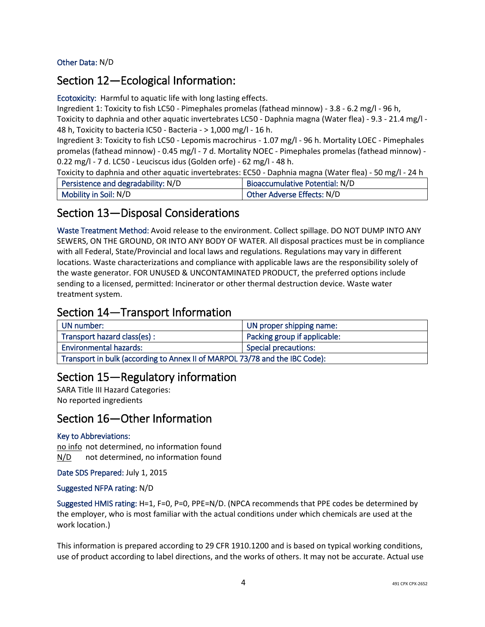Other Data: N/D

#### Section 12—Ecological Information:

Ecotoxicity: Harmful to aquatic life with long lasting effects.

Ingredient 1: Toxicity to fish LC50 - Pimephales promelas (fathead minnow) - 3.8 - 6.2 mg/l - 96 h, Toxicity to daphnia and other aquatic invertebrates LC50 - Daphnia magna (Water flea) - 9.3 - 21.4 mg/l - 48 h, Toxicity to bacteria IC50 - Bacteria - > 1,000 mg/l - 16 h.

Ingredient 3: Toxicity to fish LC50 - Lepomis macrochirus - 1.07 mg/l - 96 h. Mortality LOEC - Pimephales promelas (fathead minnow) - 0.45 mg/l - 7 d. Mortality NOEC - Pimephales promelas (fathead minnow) - 0.22 mg/l - 7 d. LC50 - Leuciscus idus (Golden orfe) - 62 mg/l - 48 h.

Toxicity to daphnia and other aquatic invertebrates: EC50 - Daphnia magna (Water flea) - 50 mg/l - 24 h

| Persistence and degradability: N/D | <b>Bioaccumulative Potential: N/D</b> |
|------------------------------------|---------------------------------------|
| Mobility in Soil: N/D              | Other Adverse Effects: N/D            |

### Section 13—Disposal Considerations

Waste Treatment Method: Avoid release to the environment. Collect spillage. DO NOT DUMP INTO ANY SEWERS, ON THE GROUND, OR INTO ANY BODY OF WATER. All disposal practices must be in compliance with all Federal, State/Provincial and local laws and regulations. Regulations may vary in different locations. Waste characterizations and compliance with applicable laws are the responsibility solely of the waste generator. FOR UNUSED & UNCONTAMINATED PRODUCT, the preferred options include sending to a licensed, permitted: Incinerator or other thermal destruction device. Waste water treatment system.

#### Section 14—Transport Information

| UN number:                                                                  | UN proper shipping name:     |
|-----------------------------------------------------------------------------|------------------------------|
| Transport hazard class(es):                                                 | Packing group if applicable: |
| <b>Environmental hazards:</b>                                               | <b>Special precautions:</b>  |
| Transport in bulk (according to Annex II of MARPOL 73/78 and the IBC Code): |                              |

# Section 15—Regulatory information

SARA Title III Hazard Categories: No reported ingredients

#### Section 16—Other Information

#### Key to Abbreviations:

no info not determined, no information found N/D not determined, no information found

Date SDS Prepared: July 1, 2015

#### Suggested NFPA rating: N/D

Suggested HMIS rating: H=1, F=0, P=0, PPE=N/D. (NPCA recommends that PPE codes be determined by the employer, who is most familiar with the actual conditions under which chemicals are used at the work location.)

This information is prepared according to 29 CFR 1910.1200 and is based on typical working conditions, use of product according to label directions, and the works of others. It may not be accurate. Actual use